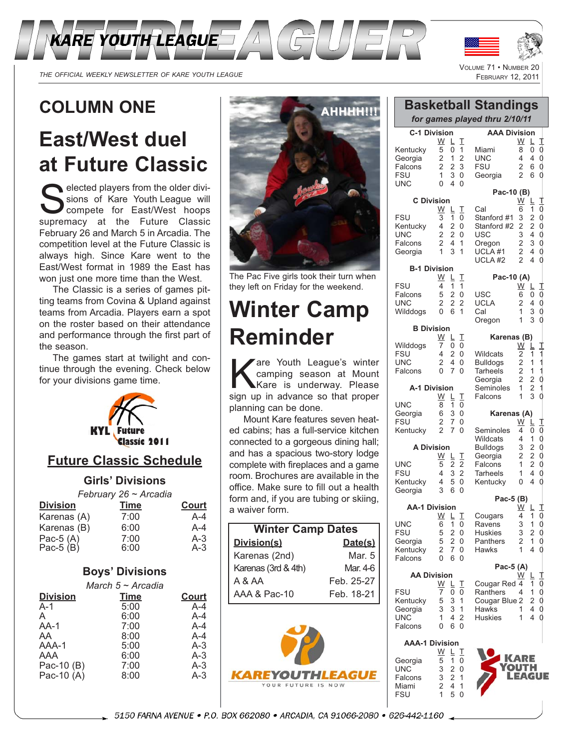



 $V_{\text{OMIME}}$  74

THE OFFICIAL WEEKLY NEWSLETTER OF KARE YOUTH LEAGUE

## **COLUMN ONE**

# **East/West duel at Future Classic**

elected players from the older divisions of Kare Youth League will compete for East/West hoops supremacy at the Future Classic February 26 and March 5 in Arcadia. The competition level at the Future Classic is always high. Since Kare went to the East/West format in 1989 the East has won just one more time than the West.

The Classic is a series of games pitting teams from Covina & Upland against teams from Arcadia. Players earn a spot on the roster based on their attendance and performance through the first part of the season.

The games start at twilight and continue through the evening. Check below for your divisions game time.



### **Future Classic Schedule**

#### **Girls' Divisions**

|                        | February 26 ~ Arcadia |              |
|------------------------|-----------------------|--------------|
| <b>Division</b>        | Time                  | <b>Court</b> |
| Karenas (A)            | 7:00                  | $A - 4$      |
| Karenas (B)            | 6:00                  | $A - 4$      |
| Pac-5 (A)<br>Pac-5 (B) | 7:00                  | $A-3$        |
|                        | 6:00                  | $A-3$        |

### **Boys' Divisions**

| March 5 ~ Arcadia |              |  |
|-------------------|--------------|--|
| <b>Division</b>   | <b>Court</b> |  |
| $A-1$             | $A-4$        |  |
| A                 | $A - 4$      |  |
| $AA-1$            | $A-4$        |  |
| AA                | $A - 4$      |  |
| AAA-1             | $A-3$        |  |
| AAA               | $A-3$        |  |
| Pac-10 (B)        | A-3          |  |
| Pac-10 $(A)$      | $A-3$        |  |
|                   |              |  |



The Pac Five girls took their turn when they left on Friday for the weekend.

# **Winter Camp Reminder**

Kare Youth League's winter<br>
Kare is underway. Please<br>
Sign up in advance so that proper camping season at Mount sign up in advance so that proper planning can be done.

Mount Kare features seven heated cabins; has a full-service kitchen connected to a gorgeous dining hall; and has a spacious two-story lodge complete with fireplaces and a game room. Brochures are available in the office. Make sure to fill out a health form and, if you are tubing or skiing, a waiver form.

| <b>Winter Camp Dates</b> |            |  |
|--------------------------|------------|--|
| Division(s)              | Date(s)    |  |
| Karenas (2nd)            | Mar. 5     |  |
| Karenas (3rd & 4th)      | Mar. 4-6   |  |
| A & AA                   | Feb. 25-27 |  |
| AAA & Pac-10             | Feb. 18-21 |  |



| ULUIVIE<br><b>INUMBER</b><br><b>FEBRUARY 12, 2011</b>        |                                                                                                                                                         |                                                                                     |                                                                                                                                      |  |
|--------------------------------------------------------------|---------------------------------------------------------------------------------------------------------------------------------------------------------|-------------------------------------------------------------------------------------|--------------------------------------------------------------------------------------------------------------------------------------|--|
|                                                              |                                                                                                                                                         |                                                                                     |                                                                                                                                      |  |
| <b>Basketball Standings</b><br>for games played thru 2/10/11 |                                                                                                                                                         |                                                                                     |                                                                                                                                      |  |
| <b>C-1 Division</b>                                          |                                                                                                                                                         | <b>AAA Division</b>                                                                 |                                                                                                                                      |  |
| Kentucky<br>Georgia<br>Falcons<br><b>FSU</b><br>UNC          | W<br>Τ<br>L<br>5<br>0<br>1<br>$\overline{2}$<br>$\overline{2}$<br>1<br>$\overline{2}$<br>3<br>2<br>$\overline{1}$<br>3<br>0<br>$\overline{0}$<br>4<br>0 | Miami<br>UNC<br><b>FSU</b><br>Georgia                                               | W<br>L<br>8<br>0<br>4<br>4<br>$\overline{2}$<br>6<br>$\overline{2}$<br>6                                                             |  |
| <b>C</b> Division                                            |                                                                                                                                                         | Pac-10 (B)                                                                          | W<br>╚                                                                                                                               |  |
| <b>FSU</b><br>Kentucky<br>UNC<br>Falcons<br>Georgia          | W<br>I<br>Г<br>3<br>1<br>0<br>4<br>$\overline{2}$<br>0<br>$\overline{2}$<br>2<br>0<br>$\overline{2}$<br>4<br>1<br>$\mathbf{1}$<br>3<br>1                | Cal<br>Stanford #1<br>Stanford #2<br>USC<br>Oregon<br>UCLA #1<br>UCLA <sub>#2</sub> | 6<br>1<br>$\overline{c}$<br>3<br>$\overline{c}$<br>2<br>4<br>3<br>$\overline{c}$<br>3<br>$\overline{c}$<br>4<br>$\overline{2}$<br>4  |  |
| <b>B-1 Division</b>                                          |                                                                                                                                                         |                                                                                     |                                                                                                                                      |  |
| <b>FSU</b>                                                   | W<br>I<br>L<br>1<br>4<br>1                                                                                                                              | Pac-10 (A)                                                                          | W<br>L                                                                                                                               |  |
| Falcons<br>UNC<br>Wilddogs                                   | 5<br>2<br>0<br>2<br>$\overline{2}$<br>$\overline{2}$<br>0<br>1<br>6                                                                                     | USC<br><b>UCLA</b><br>Cal<br>Oregon                                                 | 6<br>0<br>2<br>4<br>3<br>1<br>3<br>1                                                                                                 |  |
| <b>B</b> Division                                            | W<br>I                                                                                                                                                  | Karenas (B)                                                                         |                                                                                                                                      |  |
| Wilddogs                                                     | L<br>0<br>7<br>0                                                                                                                                        |                                                                                     | W<br>L                                                                                                                               |  |
| <b>FSU</b><br><b>UNC</b><br>Falcons                          | 4<br>2<br>0<br>$\overline{2}$<br>4<br>0<br>$\overline{0}$<br>7<br>$\Omega$                                                                              | Wildcats<br><b>Bulldogs</b><br><b>Tarheels</b><br>Georgia                           | 2<br>1<br>$\overline{2}$<br>1<br>$\begin{array}{c}\n1 \\ 1 \\ 0 \\ 1\n\end{array}$<br>$\overline{\mathbf{c}}$<br>1<br>$\overline{2}$ |  |
| A-1 Division                                                 |                                                                                                                                                         | Seminoles                                                                           | $\frac{2}{2}$<br>1                                                                                                                   |  |
| UNC                                                          | W<br>I<br>L<br>8<br>1<br>0                                                                                                                              | Falcons                                                                             | 3<br>1                                                                                                                               |  |
| Georgia                                                      | 6<br>3<br>0                                                                                                                                             | Karenas (A)                                                                         |                                                                                                                                      |  |
| <b>FSU</b><br>Kentucky                                       | 2<br>7<br>0<br>$\overline{2}$<br>0<br>7                                                                                                                 | Seminoles                                                                           | W<br>L<br>4<br>0                                                                                                                     |  |
| <b>A Division</b>                                            |                                                                                                                                                         | <b>Wildcats</b><br><b>Bulldogs</b>                                                  | $\mathbf{1}$<br>4<br>3                                                                                                               |  |
|                                                              | W<br>I<br>L                                                                                                                                             | Georgia                                                                             | $\begin{array}{c} 2 \\ 2 \\ 2 \end{array}$<br>2                                                                                      |  |
| UNC<br><b>FSU</b>                                            | 5<br>2<br>2<br>$\overline{2}$<br>$\overline{4}$<br>3                                                                                                    | Falcons<br><b>Tarheels</b>                                                          | $\mathbf{1}$<br>$\overline{\mathbf{4}}$<br>1                                                                                         |  |
| Kentucky<br>Georgia                                          | $\overline{0}$<br>4<br>5<br>3<br>0<br>6                                                                                                                 | Kentucky                                                                            | 4<br>0                                                                                                                               |  |
|                                                              |                                                                                                                                                         | Pac-5 (B)                                                                           |                                                                                                                                      |  |
| <b>AA-1 Division</b>                                         | W<br>I<br>L.                                                                                                                                            | Cougars                                                                             | W<br>L<br>1<br>4                                                                                                                     |  |
| UNC<br><b>FSU</b>                                            | 6<br>1<br>0<br>5<br>2<br>0                                                                                                                              | Ravens<br><b>Huskies</b>                                                            | 0<br>0<br>0<br>0<br>1<br>3<br>$\overline{c}$<br>3                                                                                    |  |
| Georgia                                                      | 5<br>$\overline{2}$<br>0                                                                                                                                | Panthers                                                                            | $\overline{c}$<br>$\mathbf 1$                                                                                                        |  |
| Kentucky<br>Falcons                                          | 2<br>7<br>0<br>0<br>6<br>0                                                                                                                              | Hawks                                                                               | 1<br>4                                                                                                                               |  |
| Pac-5 (A)<br><b>AA Division</b>                              |                                                                                                                                                         |                                                                                     |                                                                                                                                      |  |
|                                                              | <u>W</u><br>I<br>L                                                                                                                                      | Cougar Red 4                                                                        | <u>W</u><br>╚<br>1                                                                                                                   |  |
| <b>FSU</b><br>Kentucky                                       | 7<br>0<br>0<br>5<br>3<br>1                                                                                                                              | Ranthers<br>Cougar Blue 2                                                           | 1<br>4<br>2                                                                                                                          |  |
| Georgia                                                      | 3<br>3<br>1                                                                                                                                             | Hawks                                                                               | 4<br>1                                                                                                                               |  |

**AAA-1 Division** <u>W L T</u> Georgia 5 1 0 UNC 3 2 0<br>Falcons 3 2 1 Falcons 3 2 1 Miami 2 4 1<br>FSU 1 5 0

UNC 1 4 2 Falcons 0 6 0

**FSU** 



Huskies  $1 \, 4 \, 0$ 

KARE